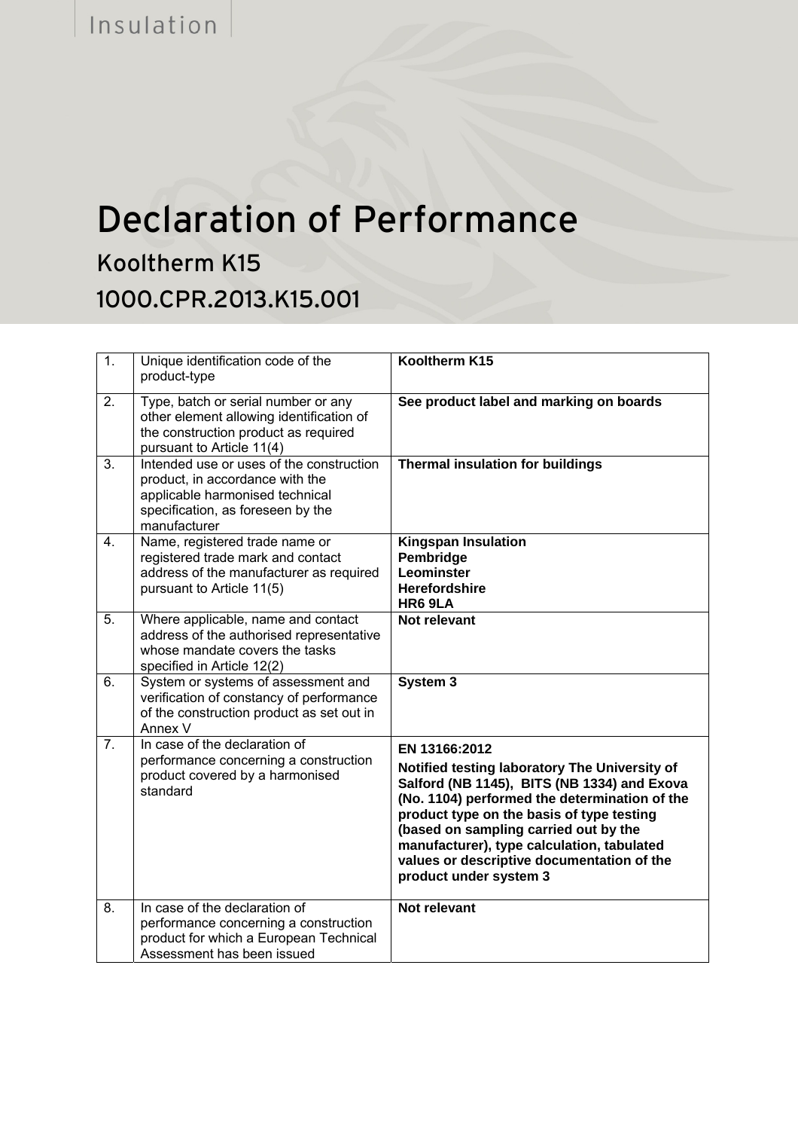## Declaration of Performance

Kooltherm K15 1000.CPR.2013.K15.001

| $\overline{1}$ . | Unique identification code of the<br>product-type                                                                                                                   | Kooltherm K15                                                                                                                                                                                                                                                                                                                                                              |
|------------------|---------------------------------------------------------------------------------------------------------------------------------------------------------------------|----------------------------------------------------------------------------------------------------------------------------------------------------------------------------------------------------------------------------------------------------------------------------------------------------------------------------------------------------------------------------|
| 2.               | Type, batch or serial number or any<br>other element allowing identification of<br>the construction product as required<br>pursuant to Article 11(4)                | See product label and marking on boards                                                                                                                                                                                                                                                                                                                                    |
| $\overline{3}$ . | Intended use or uses of the construction<br>product, in accordance with the<br>applicable harmonised technical<br>specification, as foreseen by the<br>manufacturer | <b>Thermal insulation for buildings</b>                                                                                                                                                                                                                                                                                                                                    |
| $\overline{4}$ . | Name, registered trade name or<br>registered trade mark and contact<br>address of the manufacturer as required<br>pursuant to Article 11(5)                         | <b>Kingspan Insulation</b><br>Pembridge<br><b>Leominster</b><br><b>Herefordshire</b><br>HR6 9LA                                                                                                                                                                                                                                                                            |
| $\overline{5}$ . | Where applicable, name and contact<br>address of the authorised representative<br>whose mandate covers the tasks<br>specified in Article 12(2)                      | Not relevant                                                                                                                                                                                                                                                                                                                                                               |
| 6.               | System or systems of assessment and<br>verification of constancy of performance<br>of the construction product as set out in<br>Annex V                             | System 3                                                                                                                                                                                                                                                                                                                                                                   |
| $\overline{7}$ . | In case of the declaration of<br>performance concerning a construction<br>product covered by a harmonised<br>standard                                               | EN 13166:2012<br>Notified testing laboratory The University of<br>Salford (NB 1145), BITS (NB 1334) and Exova<br>(No. 1104) performed the determination of the<br>product type on the basis of type testing<br>(based on sampling carried out by the<br>manufacturer), type calculation, tabulated<br>values or descriptive documentation of the<br>product under system 3 |
| $\overline{8}$ . | In case of the declaration of<br>performance concerning a construction<br>product for which a European Technical<br>Assessment has been issued                      | Not relevant                                                                                                                                                                                                                                                                                                                                                               |